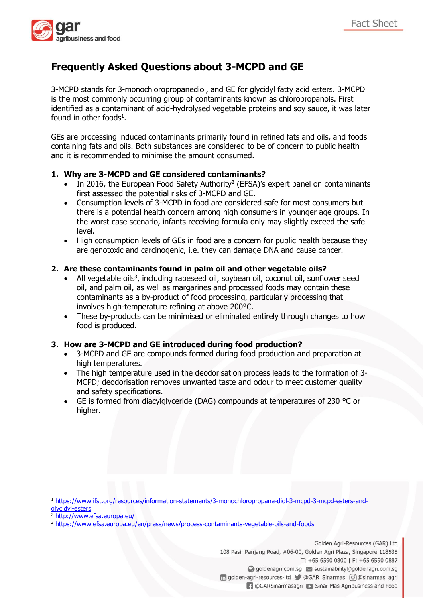

# **Frequently Asked Questions about 3-MCPD and GE**

3-MCPD stands for 3-monochloropropanediol, and GE for glycidyl fatty acid esters. 3-MCPD is the most commonly occurring group of contaminants known as chloropropanols. First identified as a contaminant of acid-hydrolysed vegetable proteins and soy sauce, it was later found in other foods<sup>1</sup>.

GEs are processing induced contaminants primarily found in refined fats and oils, and foods containing fats and oils. Both substances are considered to be of concern to public health and it is recommended to minimise the amount consumed.

# **1. Why are 3-MCPD and GE considered contaminants?**

- $\bullet$  In 2016, the European Food Safety Authority<sup>2</sup> (EFSA)'s expert panel on contaminants first assessed the potential risks of 3-MCPD and GE.
- Consumption levels of 3-MCPD in food are considered safe for most consumers but there is a potential health concern among high consumers in younger age groups. In the worst case scenario, infants receiving formula only may slightly exceed the safe level.
- High consumption levels of GEs in food are a concern for public health because they are genotoxic and carcinogenic, i.e. they can damage DNA and cause cancer.

# **2. Are these contaminants found in palm oil and other vegetable oils?**

- All vegetable oils<sup>3</sup>, including rapeseed oil, soybean oil, coconut oil, sunflower seed oil, and palm oil, as well as margarines and processed foods may contain these contaminants as a by-product of food processing, particularly processing that involves high-temperature refining at above 200°C.
- These by-products can be minimised or eliminated entirely through changes to how food is produced.

# **3. How are 3-MCPD and GE introduced during food production?**

- 3-MCPD and GE are compounds formed during food production and preparation at high temperatures.
- The high temperature used in the deodorisation process leads to the formation of 3- MCPD; deodorisation removes unwanted taste and odour to meet customer quality and safety specifications.
- GE is formed from diacylglyceride (DAG) compounds at temperatures of 230 °C or higher.

1

Golden Agri-Resources (GAR) Ltd

108 Pasir Panjang Road, #06-00, Golden Agri Plaza, Singapore 118535 T: +65 6590 0800 | F: +65 6590 0887 ◯ goldenagri.com.sg > sustainability@goldenagri.com.sg in golden-agri-resources-ltd @GAR\_Sinarmas | @ @sinarmas\_agri

**1** @GARSinarmasagri C Sinar Mas Agribusiness and Food

<sup>1</sup> [https://www.ifst.org/resources/information-statements/3-monochloropropane-diol-3-mcpd-3-mcpd-esters-and](https://www.ifst.org/resources/information-statements/3-monochloropropane-diol-3-mcpd-3-mcpd-esters-and-glycidyl-esters)[glycidyl-esters](https://www.ifst.org/resources/information-statements/3-monochloropropane-diol-3-mcpd-3-mcpd-esters-and-glycidyl-esters)

<sup>&</sup>lt;sup>2</sup> <http://www.efsa.europa.eu/>

<sup>3</sup> <https://www.efsa.europa.eu/en/press/news/process-contaminants-vegetable-oils-and-foods>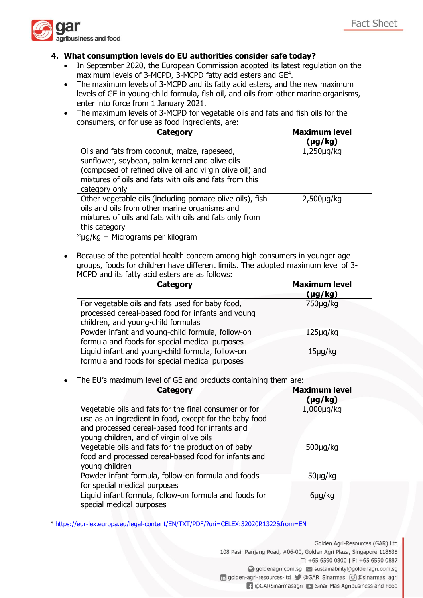

**.** 

# **4. What consumption levels do EU authorities consider safe today?**

- In September 2020, the European Commission adopted its latest regulation on the maximum levels of 3-MCPD, 3-MCPD fatty acid esters and GE<sup>4</sup>.
- The maximum levels of 3-MCPD and its fatty acid esters, and the new maximum levels of GE in young-child formula, fish oil, and oils from other marine organisms, enter into force from 1 January 2021.
- The maximum levels of 3-MCPD for vegetable oils and fats and fish oils for the consumers, or for use as food ingredients, are:

| Category                                                                                                                                                                                                                              | <b>Maximum level</b><br>(µg/kg) |
|---------------------------------------------------------------------------------------------------------------------------------------------------------------------------------------------------------------------------------------|---------------------------------|
| Oils and fats from coconut, maize, rapeseed,<br>sunflower, soybean, palm kernel and olive oils<br>(composed of refined olive oil and virgin olive oil) and<br>mixtures of oils and fats with oils and fats from this<br>category only | $1,250 \mu g/kg$                |
| Other vegetable oils (including pomace olive oils), fish<br>oils and oils from other marine organisms and<br>mixtures of oils and fats with oils and fats only from<br>this category                                                  | $2,500 \mu q/kg$                |

\*µg/kg = Micrograms per kilogram

 Because of the potential health concern among high consumers in younger age groups, foods for children have different limits. The adopted maximum level of 3- MCPD and its fatty acid esters are as follows:

| Category                                                                                             | <b>Maximum level</b><br>$(\mu g/kg)$ |
|------------------------------------------------------------------------------------------------------|--------------------------------------|
| For vegetable oils and fats used for baby food,<br>processed cereal-based food for infants and young | $750\muq/kg$                         |
| children, and young-child formulas                                                                   |                                      |
| Powder infant and young-child formula, follow-on                                                     | $125\muq/kg$                         |
| formula and foods for special medical purposes                                                       |                                      |
| Liquid infant and young-child formula, follow-on                                                     | $15\mug/kg$                          |
| formula and foods for special medical purposes                                                       |                                      |

# The EU's maximum level of GE and products containing them are:

| Category                                                                                                                                                                                                       | <b>Maximum level</b><br>(µg/kg) |
|----------------------------------------------------------------------------------------------------------------------------------------------------------------------------------------------------------------|---------------------------------|
| Vegetable oils and fats for the final consumer or for<br>use as an ingredient in food, except for the baby food<br>and processed cereal-based food for infants and<br>young children, and of virgin olive oils | $1,000\mu$ g/kg                 |
| Vegetable oils and fats for the production of baby<br>food and processed cereal-based food for infants and<br>young children                                                                                   | $500 \mu g/kg$                  |
| Powder infant formula, follow-on formula and foods<br>for special medical purposes                                                                                                                             | $50\mug/kg$                     |
| Liquid infant formula, follow-on formula and foods for<br>special medical purposes                                                                                                                             | 6 <sub>µq</sub> /kg             |

<sup>4</sup> <https://eur-lex.europa.eu/legal-content/EN/TXT/PDF/?uri=CELEX:32020R1322&from=EN>

Golden Agri-Resources (GAR) Ltd 108 Pasir Panjang Road, #06-00, Golden Agri Plaza, Singapore 118535 T: +65 6590 0800 | F: +65 6590 0887 ◯ goldenagri.com.sg > sustainability@goldenagri.com.sg in golden-agri-resources-ltd C @GAR\_Sinarmas c @@sinarmas\_agri

**1** @GARSinarmasagri C Sinar Mas Agribusiness and Food